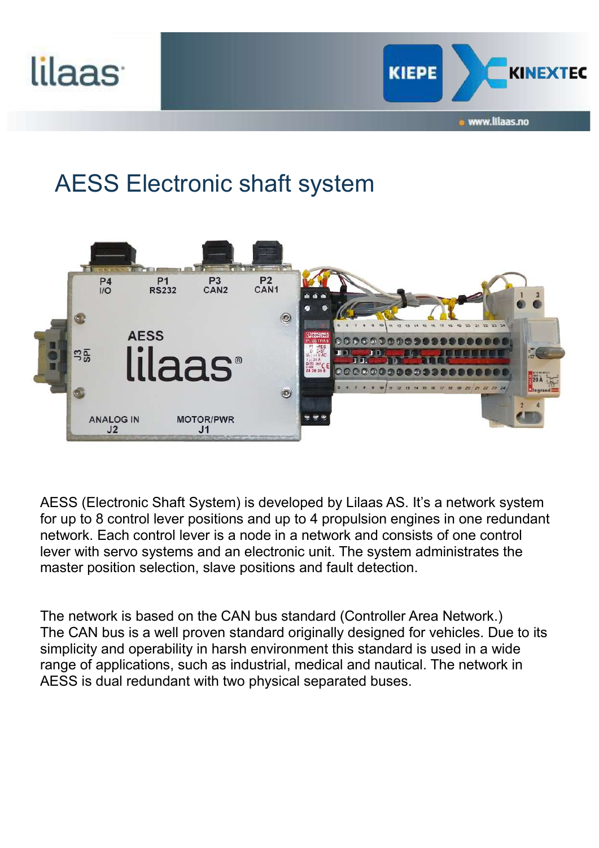



## AESS Electronic shaft system



AESS (Electronic Shaft System) is developed by Lilaas AS. It's a network system for up to 8 control lever positions and up to 4 propulsion engines in one redundant network. Each control lever is a node in a network and consists of one control lever with servo systems and an electronic unit. The system administrates the master position selection, slave positions and fault detection.

The network is based on the CAN bus standard (Controller Area Network.) The CAN bus is a well proven standard originally designed for vehicles. Due to its simplicity and operability in harsh environment this standard is used in a wide range of applications, such as industrial, medical and nautical. The network in AESS is dual redundant with two physical separated buses.